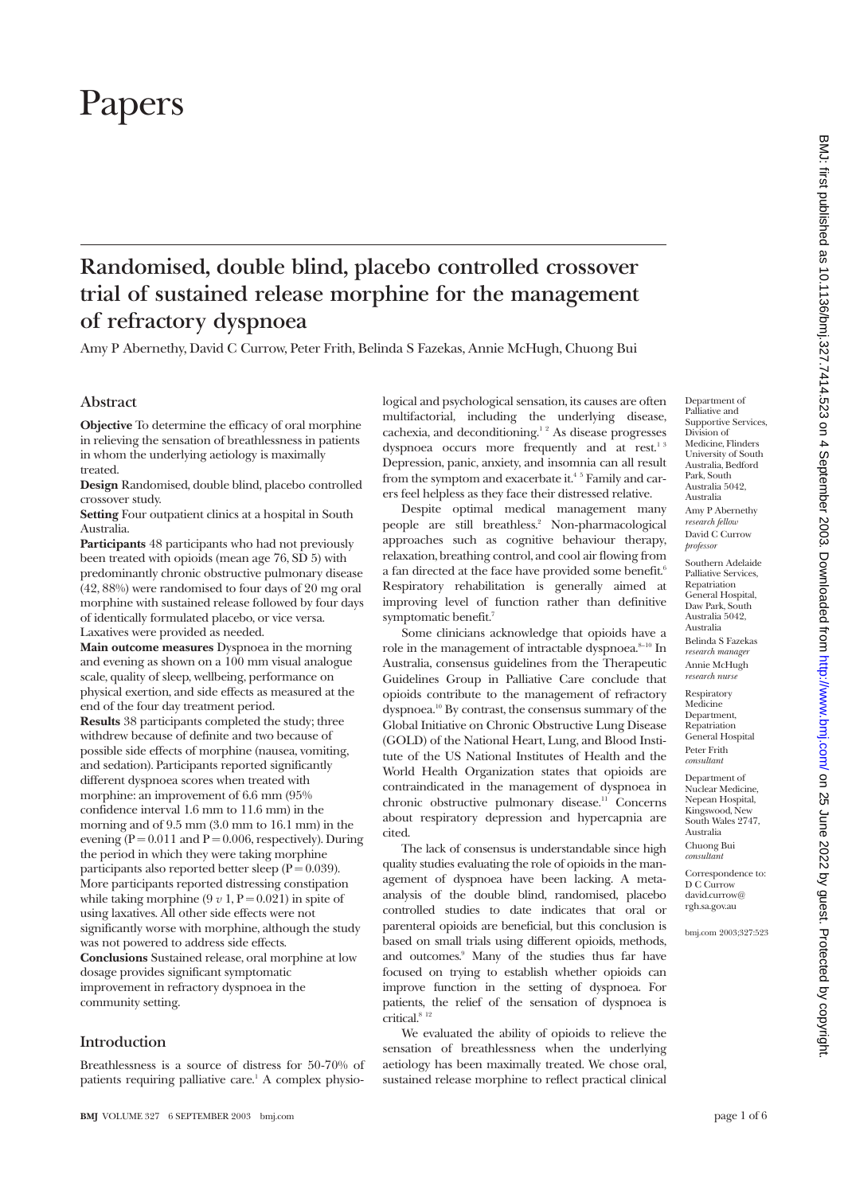# Papers

# **Randomised, double blind, placebo controlled crossover trial of sustained release morphine for the management of refractory dyspnoea**

Amy P Abernethy, David C Currow, Peter Frith, Belinda S Fazekas, Annie McHugh, Chuong Bui

# **Abstract**

**Objective** To determine the efficacy of oral morphine in relieving the sensation of breathlessness in patients in whom the underlying aetiology is maximally treated.

**Design** Randomised, double blind, placebo controlled crossover study.

**Setting** Four outpatient clinics at a hospital in South Australia.

**Participants** 48 participants who had not previously been treated with opioids (mean age 76, SD 5) with predominantly chronic obstructive pulmonary disease (42, 88%) were randomised to four days of 20 mg oral morphine with sustained release followed by four days of identically formulated placebo, or vice versa. Laxatives were provided as needed.

**Main outcome measures** Dyspnoea in the morning and evening as shown on a 100 mm visual analogue scale, quality of sleep, wellbeing, performance on physical exertion, and side effects as measured at the end of the four day treatment period.

**Results** 38 participants completed the study; three withdrew because of definite and two because of possible side effects of morphine (nausea, vomiting, and sedation). Participants reported significantly different dyspnoea scores when treated with morphine: an improvement of 6.6 mm (95% confidence interval 1.6 mm to 11.6 mm) in the morning and of 9.5 mm (3.0 mm to 16.1 mm) in the evening ( $P = 0.011$  and  $P = 0.006$ , respectively). During the period in which they were taking morphine participants also reported better sleep  $(P = 0.039)$ . More participants reported distressing constipation while taking morphine  $(9 v 1, P = 0.021)$  in spite of using laxatives. All other side effects were not significantly worse with morphine, although the study was not powered to address side effects. **Conclusions** Sustained release, oral morphine at low dosage provides significant symptomatic improvement in refractory dyspnoea in the community setting.

# **Introduction**

Breathlessness is a source of distress for 50-70% of patients requiring palliative care.<sup>1</sup> A complex physiological and psychological sensation, its causes are often multifactorial, including the underlying disease, cachexia, and deconditioning. $1<sup>2</sup>$  As disease progresses dyspnoea occurs more frequently and at rest.<sup>13</sup> Depression, panic, anxiety, and insomnia can all result from the symptom and exacerbate it.<sup>45</sup> Family and carers feel helpless as they face their distressed relative.

Despite optimal medical management many people are still breathless.<sup>2</sup> Non-pharmacological approaches such as cognitive behaviour therapy, relaxation, breathing control, and cool air flowing from a fan directed at the face have provided some benefit.<sup>6</sup> Respiratory rehabilitation is generally aimed at improving level of function rather than definitive symptomatic benefit.<sup>7</sup>

Some clinicians acknowledge that opioids have a role in the management of intractable dyspnoea. $8-10$  In Australia, consensus guidelines from the Therapeutic Guidelines Group in Palliative Care conclude that opioids contribute to the management of refractory dyspnoea.10 By contrast, the consensus summary of the Global Initiative on Chronic Obstructive Lung Disease (GOLD) of the National Heart, Lung, and Blood Institute of the US National Institutes of Health and the World Health Organization states that opioids are contraindicated in the management of dyspnoea in chronic obstructive pulmonary disease.<sup>11</sup> Concerns about respiratory depression and hypercapnia are cited.

The lack of consensus is understandable since high quality studies evaluating the role of opioids in the management of dyspnoea have been lacking. A metaanalysis of the double blind, randomised, placebo controlled studies to date indicates that oral or parenteral opioids are beneficial, but this conclusion is based on small trials using different opioids, methods, and outcomes.9 Many of the studies thus far have focused on trying to establish whether opioids can improve function in the setting of dyspnoea. For patients, the relief of the sensation of dyspnoea is  $\text{critical.}^{\text{8,12}}$ 

We evaluated the ability of opioids to relieve the sensation of breathlessness when the underlying aetiology has been maximally treated. We chose oral, sustained release morphine to reflect practical clinical

Department of Palliative and Supportive Services, Division of Medicine, Flinders University of South Australia, Bedford Park, South Australia 5042, Australia Amy P Abernethy *research fellow* David C Currow *professor*

Southern Adelaide Palliative Services, Repatriation General Hospital, Daw Park, South Australia 5042, Australia Belinda S Fazekas *research manage* Annie McHugh *research nurse* Respiratory Medicine Department, Repatriation General Hospital Peter Frith *consultant* Department of Nuclear Medicine, Nepean Hospital, Kingswood, New South Wales 2747, Australia Chuong Bui *consultant*

Correspondence to: D C Currow david.currow@ rgh.sa.gov.au

bmj.com 2003;327:523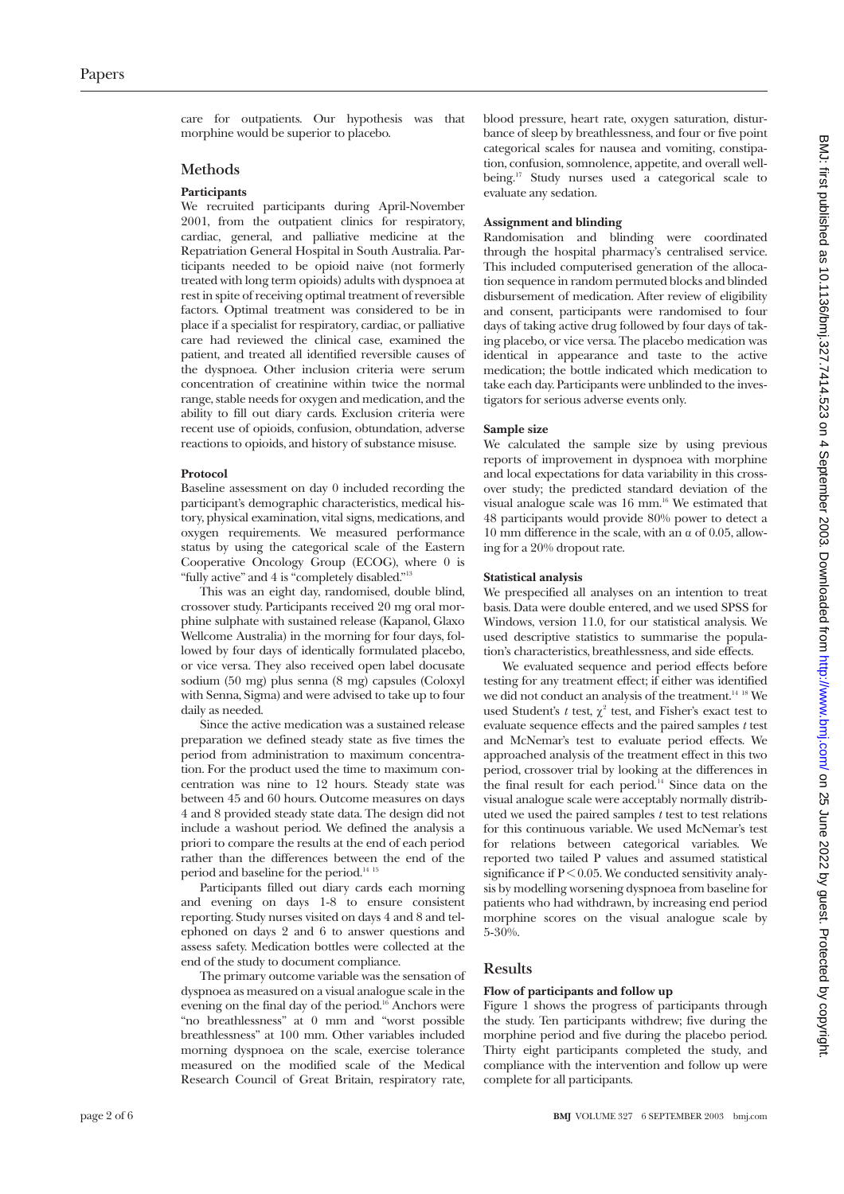care for outpatients. Our hypothesis was that morphine would be superior to placebo.

#### **Methods**

#### **Participants**

We recruited participants during April-November 2001, from the outpatient clinics for respiratory, cardiac, general, and palliative medicine at the Repatriation General Hospital in South Australia. Participants needed to be opioid naive (not formerly treated with long term opioids) adults with dyspnoea at rest in spite of receiving optimal treatment of reversible factors. Optimal treatment was considered to be in place if a specialist for respiratory, cardiac, or palliative care had reviewed the clinical case, examined the patient, and treated all identified reversible causes of the dyspnoea. Other inclusion criteria were serum concentration of creatinine within twice the normal range, stable needs for oxygen and medication, and the ability to fill out diary cards. Exclusion criteria were recent use of opioids, confusion, obtundation, adverse reactions to opioids, and history of substance misuse.

#### **Protocol**

Baseline assessment on day 0 included recording the participant's demographic characteristics, medical history, physical examination, vital signs, medications, and oxygen requirements. We measured performance status by using the categorical scale of the Eastern Cooperative Oncology Group (ECOG), where 0 is "fully active" and 4 is "completely disabled."13

This was an eight day, randomised, double blind, crossover study. Participants received 20 mg oral morphine sulphate with sustained release (Kapanol, Glaxo Wellcome Australia) in the morning for four days, followed by four days of identically formulated placebo, or vice versa. They also received open label docusate sodium (50 mg) plus senna (8 mg) capsules (Coloxyl with Senna, Sigma) and were advised to take up to four daily as needed.

Since the active medication was a sustained release preparation we defined steady state as five times the period from administration to maximum concentration. For the product used the time to maximum concentration was nine to 12 hours. Steady state was between 45 and 60 hours. Outcome measures on days 4 and 8 provided steady state data. The design did not include a washout period. We defined the analysis a priori to compare the results at the end of each period rather than the differences between the end of the period and baseline for the period.<sup>14 15</sup>

Participants filled out diary cards each morning and evening on days 1-8 to ensure consistent reporting. Study nurses visited on days 4 and 8 and telephoned on days 2 and 6 to answer questions and assess safety. Medication bottles were collected at the end of the study to document compliance.

The primary outcome variable was the sensation of dyspnoea as measured on a visual analogue scale in the evening on the final day of the period.<sup>16</sup> Anchors were "no breathlessness" at 0 mm and "worst possible breathlessness" at 100 mm. Other variables included morning dyspnoea on the scale, exercise tolerance measured on the modified scale of the Medical Research Council of Great Britain, respiratory rate, blood pressure, heart rate, oxygen saturation, disturbance of sleep by breathlessness, and four or five point categorical scales for nausea and vomiting, constipation, confusion, somnolence, appetite, and overall wellbeing.<sup>17</sup> Study nurses used a categorical scale to evaluate any sedation.

#### **Assignment and blinding**

Randomisation and blinding were coordinated through the hospital pharmacy's centralised service. This included computerised generation of the allocation sequence in random permuted blocks and blinded disbursement of medication. After review of eligibility and consent, participants were randomised to four days of taking active drug followed by four days of taking placebo, or vice versa. The placebo medication was identical in appearance and taste to the active medication; the bottle indicated which medication to take each day. Participants were unblinded to the investigators for serious adverse events only.

#### **Sample size**

We calculated the sample size by using previous reports of improvement in dyspnoea with morphine and local expectations for data variability in this crossover study; the predicted standard deviation of the visual analogue scale was 16 mm.<sup>16</sup> We estimated that 48 participants would provide 80% power to detect a 10 mm difference in the scale, with an  $\alpha$  of 0.05, allowing for a 20% dropout rate.

#### **Statistical analysis**

We prespecified all analyses on an intention to treat basis. Data were double entered, and we used SPSS for Windows, version 11.0, for our statistical analysis. We used descriptive statistics to summarise the population's characteristics, breathlessness, and side effects.

We evaluated sequence and period effects before testing for any treatment effect; if either was identified we did not conduct an analysis of the treatment.<sup>14 18</sup> We used Student's  $t$  test,  $\chi^2$  test, and Fisher's exact test to evaluate sequence effects and the paired samples *t* test and McNemar's test to evaluate period effects. We approached analysis of the treatment effect in this two period, crossover trial by looking at the differences in the final result for each period.<sup>14</sup> Since data on the visual analogue scale were acceptably normally distributed we used the paired samples *t* test to test relations for this continuous variable. We used McNemar's test for relations between categorical variables. We reported two tailed P values and assumed statistical significance if  $P < 0.05$ . We conducted sensitivity analysis by modelling worsening dyspnoea from baseline for patients who had withdrawn, by increasing end period morphine scores on the visual analogue scale by 5-30%.

### **Results**

#### **Flow of participants and follow up**

Figure 1 shows the progress of participants through the study. Ten participants withdrew; five during the morphine period and five during the placebo period. Thirty eight participants completed the study, and compliance with the intervention and follow up were complete for all participants.

BMJ: first published as 10.1136/bmj.327.7414.523 on 4 September 2003. Downloaded from http://www.bmj.com/ on 25 June 2022 by guest. Protected by copyright on 25 June 2022 by guest. Protected by copyright. <http://www.bmj.com/> BMJ: first published as 10.1136/bmj.327.7414.523 on 4 September 2003. Downloaded from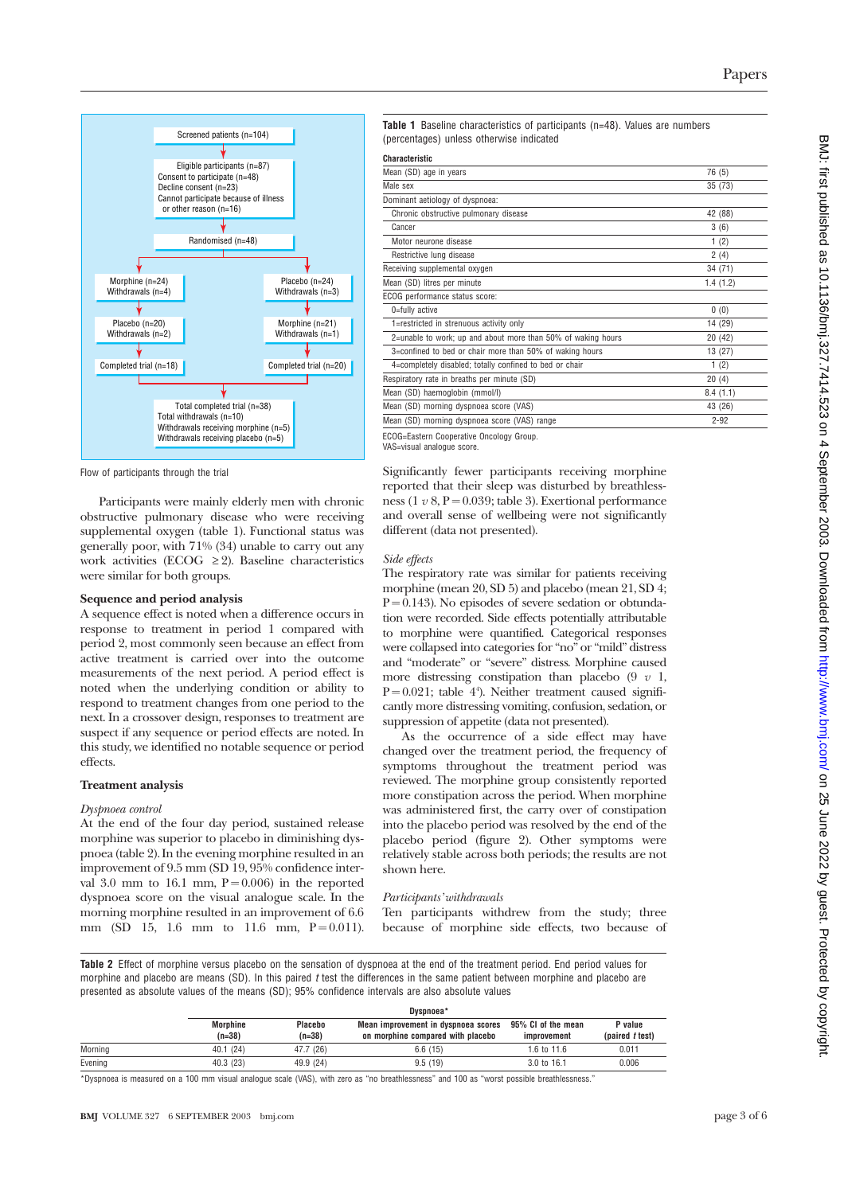

Flow of participants through the trial

Participants were mainly elderly men with chronic obstructive pulmonary disease who were receiving supplemental oxygen (table 1). Functional status was generally poor, with 71% (34) unable to carry out any work activities (ECOG  $\geq$  2). Baseline characteristics were similar for both groups.

#### **Sequence and period analysis**

A sequence effect is noted when a difference occurs in response to treatment in period 1 compared with period 2, most commonly seen because an effect from active treatment is carried over into the outcome measurements of the next period. A period effect is noted when the underlying condition or ability to respond to treatment changes from one period to the next. In a crossover design, responses to treatment are suspect if any sequence or period effects are noted. In this study, we identified no notable sequence or period effects.

#### **Treatment analysis**

#### *Dyspnoea control*

At the end of the four day period, sustained release morphine was superior to placebo in diminishing dyspnoea (table 2). In the evening morphine resulted in an improvement of 9.5 mm (SD 19, 95% confidence interval  $3.0 \text{ mm}$  to  $16.1 \text{ mm}$ ,  $P = 0.006$ ) in the reported dyspnoea score on the visual analogue scale. In the morning morphine resulted in an improvement of 6.6 mm (SD 15, 1.6 mm to 11.6 mm,  $P = 0.011$ ). **Table 1** Baseline characteristics of participants (n=48). Values are numbers (percentages) unless otherwise indicated

**Characteristic**

| Mean (SD) age in years                                       | 76 (5)   |
|--------------------------------------------------------------|----------|
| Male sex                                                     | 35(73)   |
| Dominant aetiology of dyspnoea:                              |          |
| Chronic obstructive pulmonary disease                        | 42 (88)  |
| Cancer                                                       | 3(6)     |
| Motor neurone disease                                        | 1(2)     |
| Restrictive lung disease                                     | 2(4)     |
| Receiving supplemental oxygen                                | 34 (71)  |
| Mean (SD) litres per minute                                  | 1.4(1.2) |
| ECOG performance status score:                               |          |
| 0=fully active                                               | 0(0)     |
| 1=restricted in strenuous activity only                      | 14 (29)  |
| 2=unable to work; up and about more than 50% of waking hours | 20(42)   |
| 3=confined to bed or chair more than 50% of waking hours     | 13 (27)  |
| 4=completely disabled; totally confined to bed or chair      | 1(2)     |
| Respiratory rate in breaths per minute (SD)                  | 20(4)    |
| Mean (SD) haemoglobin (mmol/l)                               | 8.4(1.1) |
| Mean (SD) morning dyspnoea score (VAS)                       | 43 (26)  |
| Mean (SD) morning dyspnoea score (VAS) range                 | $2 - 92$ |
|                                                              |          |

ECOG=Eastern Cooperative Oncology Group.

VAS=visual analogue score.

Significantly fewer participants receiving morphine reported that their sleep was disturbed by breathlessness (1  $v$  8, P = 0.039; table 3). Exertional performance and overall sense of wellbeing were not significantly different (data not presented).

#### *Side effects*

The respiratory rate was similar for patients receiving morphine (mean 20, SD 5) and placebo (mean 21, SD 4;  $P = 0.143$ ). No episodes of severe sedation or obtundation were recorded. Side effects potentially attributable to morphine were quantified. Categorical responses were collapsed into categories for "no" or "mild" distress and "moderate" or "severe" distress. Morphine caused more distressing constipation than placebo  $(9 \ v \ 1,$  $P = 0.021$ ; table 4<sup>4</sup>). Neither treatment caused significantly more distressing vomiting, confusion, sedation, or suppression of appetite (data not presented).

As the occurrence of a side effect may have changed over the treatment period, the frequency of symptoms throughout the treatment period was reviewed. The morphine group consistently reported more constipation across the period. When morphine was administered first, the carry over of constipation into the placebo period was resolved by the end of the placebo period (figure 2). Other symptoms were relatively stable across both periods; the results are not shown here.

#### *Participants' withdrawals*

Ten participants withdrew from the study; three because of morphine side effects, two because of

**Table 2** Effect of morphine versus placebo on the sensation of dyspnoea at the end of the treatment period. End period values for morphine and placebo are means (SD). In this paired t test the differences in the same patient between morphine and placebo are presented as absolute values of the means (SD); 95% confidence intervals are also absolute values

|         | Dyspnoea*                   |                     |                                                                          |                                   |                            |
|---------|-----------------------------|---------------------|--------------------------------------------------------------------------|-----------------------------------|----------------------------|
|         | <b>Morphine</b><br>$(n=38)$ | Placebo<br>$(n=38)$ | Mean improvement in dyspnoea scores<br>on morphine compared with placebo | 95% CI of the mean<br>improvement | P value<br>(paired t test) |
| Morning | 40.1(24)                    | 47.7 (26)           | 6.6(15)                                                                  | 1.6 to $11.6$                     | 0.011                      |
| Evening | 40.3 (23)                   | 49.9 (24)           | 9.5(19)                                                                  | $3.0 \text{ to } 16.1$            | 0.006                      |

\*Dyspnoea is measured on a 100 mm visual analogue scale (VAS), with zero as "no breathlessness" and 100 as "worst possible breathlessness."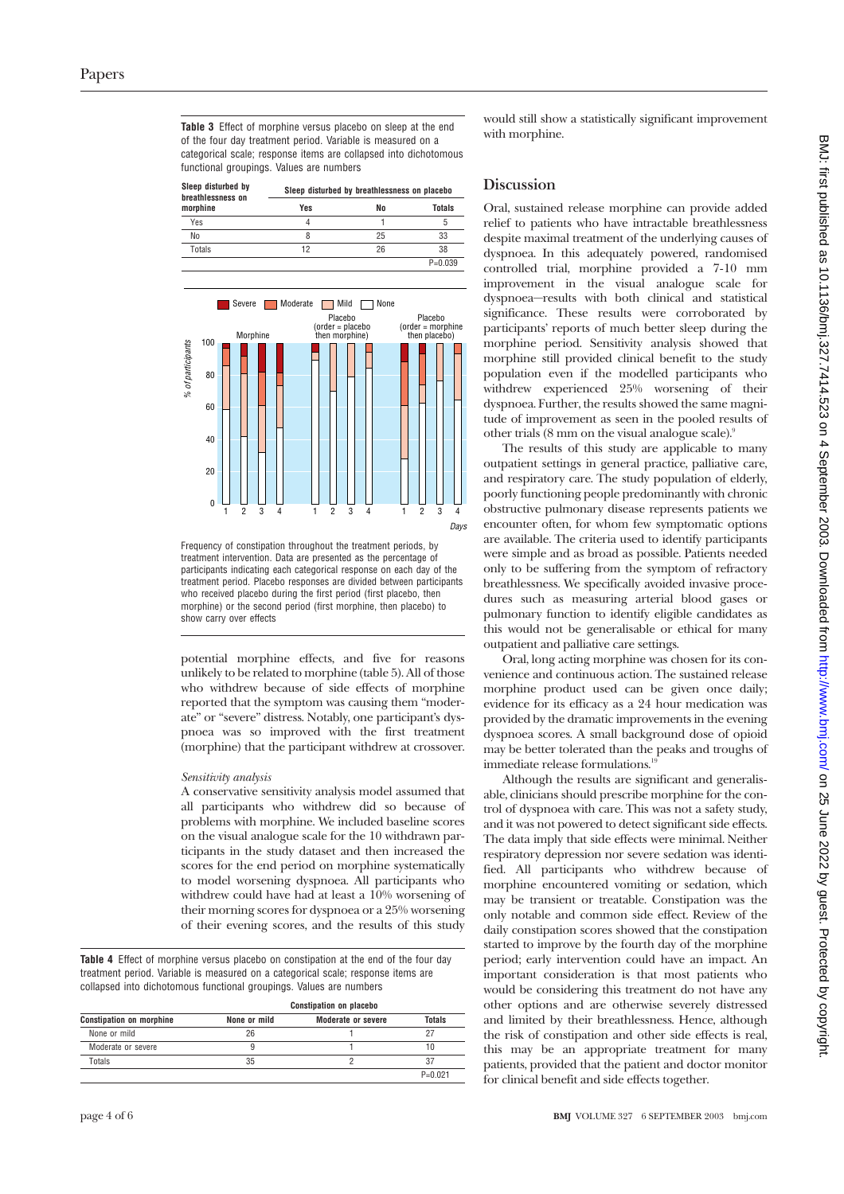**Table 3** Effect of morphine versus placebo on sleep at the end of the four day treatment period. Variable is measured on a categorical scale; response items are collapsed into dichotomous functional groupings. Values are numbers

**Sleep disturbed by**

| <b>OIGGN GIOMING AV</b><br>breathlessness on | Sleep disturbed by breathlessness on placebo |    |           |  |
|----------------------------------------------|----------------------------------------------|----|-----------|--|
| morphine                                     | Yes                                          | No | Totals    |  |
| Yes                                          |                                              |    | b         |  |
| No                                           | 8                                            | 25 | 33        |  |
| Totals                                       | 12                                           | 26 | 38        |  |
|                                              |                                              |    | $P=0.039$ |  |



Frequency of constipation throughout the treatment periods, by treatment intervention. Data are presented as the percentage of participants indicating each categorical response on each day of the treatment period. Placebo responses are divided between participants who received placebo during the first period (first placebo, then morphine) or the second period (first morphine, then placebo) to show carry over effects

potential morphine effects, and five for reasons unlikely to be related to morphine (table 5). All of those who withdrew because of side effects of morphine reported that the symptom was causing them "moderate" or "severe" distress. Notably, one participant's dyspnoea was so improved with the first treatment (morphine) that the participant withdrew at crossover.

#### *Sensitivity analysis*

A conservative sensitivity analysis model assumed that all participants who withdrew did so because of problems with morphine. We included baseline scores on the visual analogue scale for the 10 withdrawn participants in the study dataset and then increased the scores for the end period on morphine systematically to model worsening dyspnoea. All participants who withdrew could have had at least a 10% worsening of their morning scores for dyspnoea or a 25% worsening of their evening scores, and the results of this study

**Table 4** Effect of morphine versus placebo on constipation at the end of the four day treatment period. Variable is measured on a categorical scale; response items are collapsed into dichotomous functional groupings. Values are numbers

|                                 | <b>Constipation on placebo</b> |                           |               |  |
|---------------------------------|--------------------------------|---------------------------|---------------|--|
| <b>Constipation on morphine</b> | None or mild                   | <b>Moderate or severe</b> | <b>Totals</b> |  |
| None or mild                    | 26                             |                           |               |  |
| Moderate or severe              |                                |                           |               |  |
| Totals                          | 35                             |                           | 37            |  |
|                                 |                                |                           | $P = 0.021$   |  |

would still show a statistically significant improvement with morphine.

# **Discussion**

Oral, sustained release morphine can provide added relief to patients who have intractable breathlessness despite maximal treatment of the underlying causes of dyspnoea. In this adequately powered, randomised controlled trial, morphine provided a 7-10 mm improvement in the visual analogue scale for dyspnoea—results with both clinical and statistical significance. These results were corroborated by participants' reports of much better sleep during the morphine period. Sensitivity analysis showed that morphine still provided clinical benefit to the study population even if the modelled participants who withdrew experienced 25% worsening of their dyspnoea. Further, the results showed the same magnitude of improvement as seen in the pooled results of other trials (8 mm on the visual analogue scale).9

The results of this study are applicable to many outpatient settings in general practice, palliative care, and respiratory care. The study population of elderly, poorly functioning people predominantly with chronic obstructive pulmonary disease represents patients we encounter often, for whom few symptomatic options are available. The criteria used to identify participants were simple and as broad as possible. Patients needed only to be suffering from the symptom of refractory breathlessness. We specifically avoided invasive procedures such as measuring arterial blood gases or pulmonary function to identify eligible candidates as this would not be generalisable or ethical for many outpatient and palliative care settings.

Oral, long acting morphine was chosen for its convenience and continuous action. The sustained release morphine product used can be given once daily; evidence for its efficacy as a 24 hour medication was provided by the dramatic improvements in the evening dyspnoea scores. A small background dose of opioid may be better tolerated than the peaks and troughs of immediate release formulations.<sup>1</sup>

Although the results are significant and generalisable, clinicians should prescribe morphine for the control of dyspnoea with care. This was not a safety study, and it was not powered to detect significant side effects. The data imply that side effects were minimal. Neither respiratory depression nor severe sedation was identified. All participants who withdrew because of morphine encountered vomiting or sedation, which may be transient or treatable. Constipation was the only notable and common side effect. Review of the daily constipation scores showed that the constipation started to improve by the fourth day of the morphine period; early intervention could have an impact. An important consideration is that most patients who would be considering this treatment do not have any other options and are otherwise severely distressed and limited by their breathlessness. Hence, although the risk of constipation and other side effects is real, this may be an appropriate treatment for many patients, provided that the patient and doctor monitor for clinical benefit and side effects together.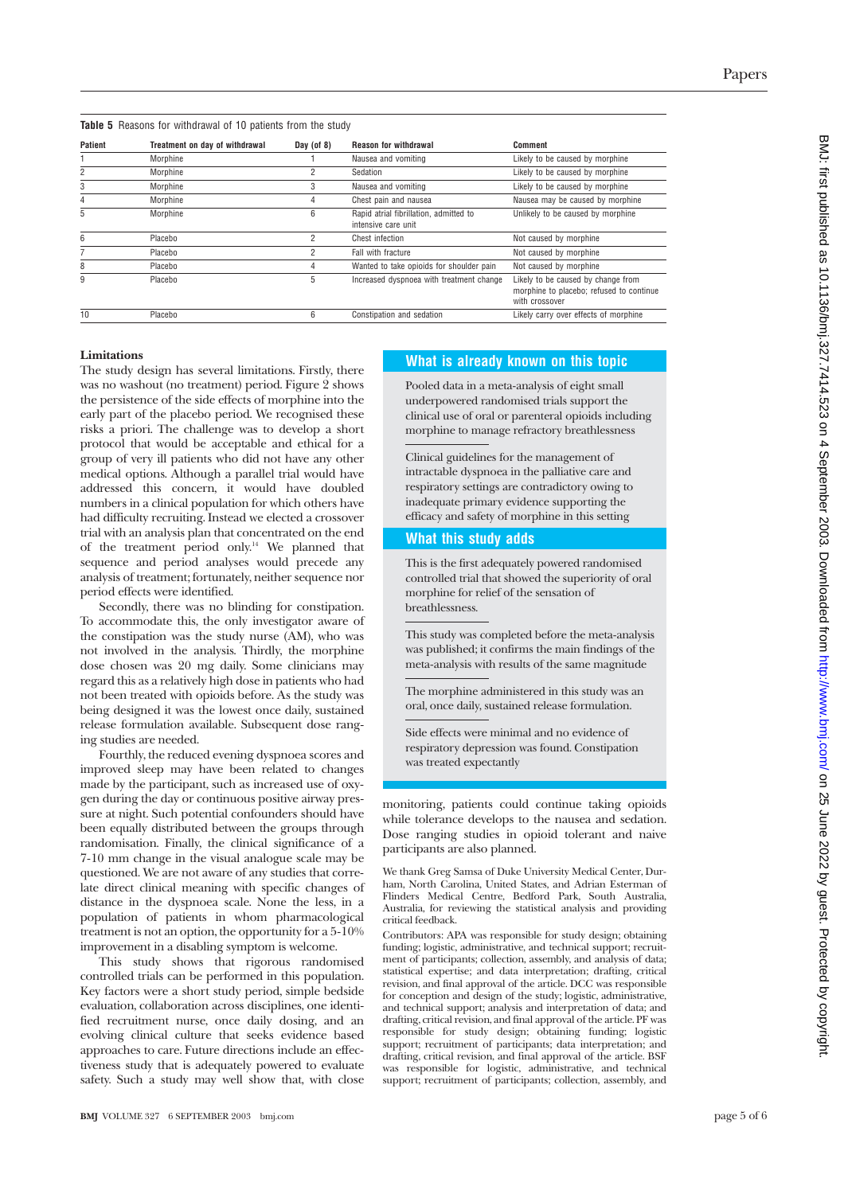| Patient | Treatment on day of withdrawal | Day (of $8$ ) | <b>Reason for withdrawal</b>                                  | Comment                                                                                          |
|---------|--------------------------------|---------------|---------------------------------------------------------------|--------------------------------------------------------------------------------------------------|
|         | Morphine                       |               | Nausea and vomiting                                           | Likely to be caused by morphine                                                                  |
|         | Morphine                       |               | Sedation                                                      | Likely to be caused by morphine                                                                  |
| 3       | Morphine                       | 3             | Nausea and vomiting                                           | Likely to be caused by morphine                                                                  |
|         | Morphine                       | 4             | Chest pain and nausea                                         | Nausea may be caused by morphine                                                                 |
| 5       | Morphine                       | 6             | Rapid atrial fibrillation, admitted to<br>intensive care unit | Unlikely to be caused by morphine                                                                |
| 6       | Placebo                        | ŋ             | Chest infection                                               | Not caused by morphine                                                                           |
|         | Placebo                        | ŋ             | Fall with fracture                                            | Not caused by morphine                                                                           |
| 8       | Placebo                        | 4             | Wanted to take opioids for shoulder pain                      | Not caused by morphine                                                                           |
| 9       | Placebo                        | 5             | Increased dyspnoea with treatment change                      | Likely to be caused by change from<br>morphine to placebo; refused to continue<br>with crossover |
| 10      | Placebo                        | 6             | Constipation and sedation                                     | Likely carry over effects of morphine                                                            |

#### **Limitations**

The study design has several limitations. Firstly, there was no washout (no treatment) period. Figure 2 shows the persistence of the side effects of morphine into the early part of the placebo period. We recognised these risks a priori. The challenge was to develop a short protocol that would be acceptable and ethical for a group of very ill patients who did not have any other medical options. Although a parallel trial would have addressed this concern, it would have doubled numbers in a clinical population for which others have had difficulty recruiting. Instead we elected a crossover trial with an analysis plan that concentrated on the end of the treatment period only.<sup>14</sup> We planned that sequence and period analyses would precede any analysis of treatment; fortunately, neither sequence nor period effects were identified.

Secondly, there was no blinding for constipation. To accommodate this, the only investigator aware of the constipation was the study nurse (AM), who was not involved in the analysis. Thirdly, the morphine dose chosen was 20 mg daily. Some clinicians may regard this as a relatively high dose in patients who had not been treated with opioids before. As the study was being designed it was the lowest once daily, sustained release formulation available. Subsequent dose ranging studies are needed.

Fourthly, the reduced evening dyspnoea scores and improved sleep may have been related to changes made by the participant, such as increased use of oxygen during the day or continuous positive airway pressure at night. Such potential confounders should have been equally distributed between the groups through randomisation. Finally, the clinical significance of a 7-10 mm change in the visual analogue scale may be questioned. We are not aware of any studies that correlate direct clinical meaning with specific changes of distance in the dyspnoea scale. None the less, in a population of patients in whom pharmacological treatment is not an option, the opportunity for a 5-10% improvement in a disabling symptom is welcome.

This study shows that rigorous randomised controlled trials can be performed in this population. Key factors were a short study period, simple bedside evaluation, collaboration across disciplines, one identified recruitment nurse, once daily dosing, and an evolving clinical culture that seeks evidence based approaches to care. Future directions include an effectiveness study that is adequately powered to evaluate safety. Such a study may well show that, with close

#### **What is already known on this topic**

Pooled data in a meta-analysis of eight small underpowered randomised trials support the clinical use of oral or parenteral opioids including morphine to manage refractory breathlessness

Clinical guidelines for the management of intractable dyspnoea in the palliative care and respiratory settings are contradictory owing to inadequate primary evidence supporting the efficacy and safety of morphine in this setting

#### **What this study adds**

This is the first adequately powered randomised controlled trial that showed the superiority of oral morphine for relief of the sensation of breathlessness.

This study was completed before the meta-analysis was published; it confirms the main findings of the meta-analysis with results of the same magnitude

The morphine administered in this study was an oral, once daily, sustained release formulation.

Side effects were minimal and no evidence of respiratory depression was found. Constipation was treated expectantly

monitoring, patients could continue taking opioids while tolerance develops to the nausea and sedation. Dose ranging studies in opioid tolerant and naive participants are also planned.

We thank Greg Samsa of Duke University Medical Center, Durham, North Carolina, United States, and Adrian Esterman of Flinders Medical Centre, Bedford Park, South Australia, Australia, for reviewing the statistical analysis and providing critical feedback.

Contributors: APA was responsible for study design; obtaining funding; logistic, administrative, and technical support; recruitment of participants; collection, assembly, and analysis of data; statistical expertise; and data interpretation; drafting, critical revision, and final approval of the article. DCC was responsible for conception and design of the study; logistic, administrative, and technical support; analysis and interpretation of data; and drafting, critical revision, and final approval of the article. PF was responsible for study design; obtaining funding; logistic support; recruitment of participants; data interpretation; and drafting, critical revision, and final approval of the article. BSF was responsible for logistic, administrative, and technical support; recruitment of participants; collection, assembly, and